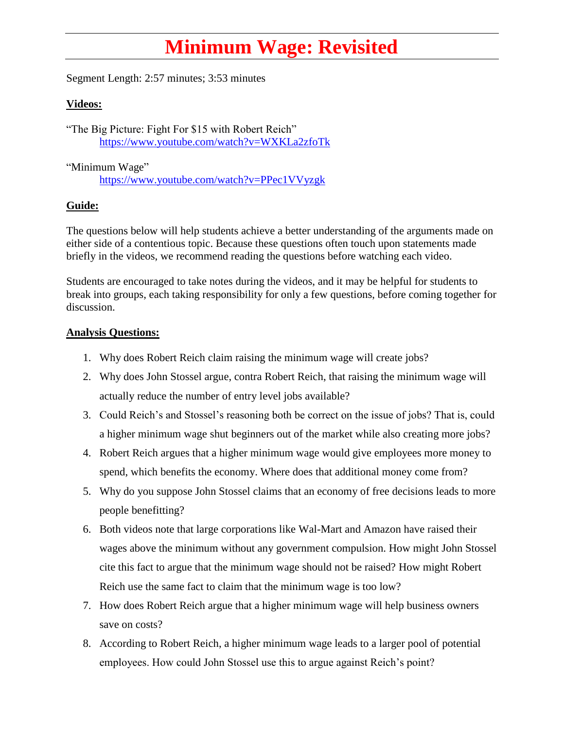## **Minimum Wage: Revisited**

Segment Length: 2:57 minutes; 3:53 minutes

## **Videos:**

"The Big Picture: Fight For \$15 with Robert Reich" <https://www.youtube.com/watch?v=WXKLa2zfoTk>

"Minimum Wage"

<https://www.youtube.com/watch?v=PPec1VVyzgk>

## **Guide:**

The questions below will help students achieve a better understanding of the arguments made on either side of a contentious topic. Because these questions often touch upon statements made briefly in the videos, we recommend reading the questions before watching each video.

Students are encouraged to take notes during the videos, and it may be helpful for students to break into groups, each taking responsibility for only a few questions, before coming together for discussion.

## **Analysis Questions:**

- 1. Why does Robert Reich claim raising the minimum wage will create jobs?
- 2. Why does John Stossel argue, contra Robert Reich, that raising the minimum wage will actually reduce the number of entry level jobs available?
- 3. Could Reich's and Stossel's reasoning both be correct on the issue of jobs? That is, could a higher minimum wage shut beginners out of the market while also creating more jobs?
- 4. Robert Reich argues that a higher minimum wage would give employees more money to spend, which benefits the economy. Where does that additional money come from?
- 5. Why do you suppose John Stossel claims that an economy of free decisions leads to more people benefitting?
- 6. Both videos note that large corporations like Wal-Mart and Amazon have raised their wages above the minimum without any government compulsion. How might John Stossel cite this fact to argue that the minimum wage should not be raised? How might Robert Reich use the same fact to claim that the minimum wage is too low?
- 7. How does Robert Reich argue that a higher minimum wage will help business owners save on costs?
- 8. According to Robert Reich, a higher minimum wage leads to a larger pool of potential employees. How could John Stossel use this to argue against Reich's point?